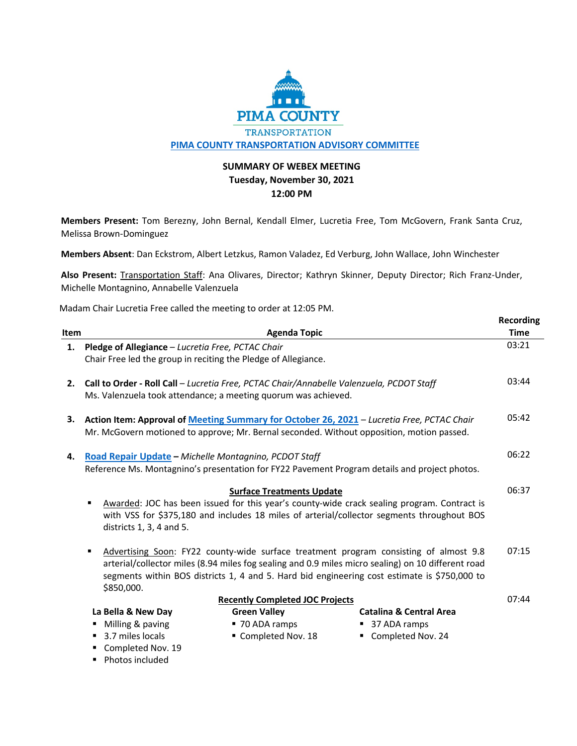

## **SUMMARY OF WEBEX MEETING Tuesday, November 30, 2021 12:00 PM**

**Members Present:** Tom Berezny, John Bernal, Kendall Elmer, Lucretia Free, Tom McGovern, Frank Santa Cruz, Melissa Brown-Dominguez

**Members Absent**: Dan Eckstrom, Albert Letzkus, Ramon Valadez, Ed Verburg, John Wallace, John Winchester

**Also Present:** Transportation Staff: Ana Olivares, Director; Kathryn Skinner, Deputy Director; Rich Franz-Under, Michelle Montagnino, Annabelle Valenzuela

**Recording**

Madam Chair Lucretia Free called the meeting to order at 12:05 PM.

|                                        |                                                                                                                                                                                                                                                                    |                                                                                                                                                            |                                                                                                                                                                                                                                                                                             | nccorums    |
|----------------------------------------|--------------------------------------------------------------------------------------------------------------------------------------------------------------------------------------------------------------------------------------------------------------------|------------------------------------------------------------------------------------------------------------------------------------------------------------|---------------------------------------------------------------------------------------------------------------------------------------------------------------------------------------------------------------------------------------------------------------------------------------------|-------------|
| Item                                   |                                                                                                                                                                                                                                                                    | <b>Agenda Topic</b>                                                                                                                                        |                                                                                                                                                                                                                                                                                             | <b>Time</b> |
| 1.                                     | Pledge of Allegiance - Lucretia Free, PCTAC Chair                                                                                                                                                                                                                  |                                                                                                                                                            |                                                                                                                                                                                                                                                                                             | 03:21       |
|                                        | Chair Free led the group in reciting the Pledge of Allegiance.                                                                                                                                                                                                     |                                                                                                                                                            |                                                                                                                                                                                                                                                                                             |             |
| 2.                                     |                                                                                                                                                                                                                                                                    | Call to Order - Roll Call - Lucretia Free, PCTAC Chair/Annabelle Valenzuela, PCDOT Staff<br>Ms. Valenzuela took attendance; a meeting quorum was achieved. |                                                                                                                                                                                                                                                                                             | 03:44       |
| З.                                     |                                                                                                                                                                                                                                                                    |                                                                                                                                                            | Action Item: Approval of Meeting Summary for October 26, 2021 - Lucretia Free, PCTAC Chair<br>Mr. McGovern motioned to approve; Mr. Bernal seconded. Without opposition, motion passed.                                                                                                     | 05:42       |
| 4.                                     | Road Repair Update - Michelle Montagnino, PCDOT Staff                                                                                                                                                                                                              |                                                                                                                                                            | Reference Ms. Montagnino's presentation for FY22 Pavement Program details and project photos.                                                                                                                                                                                               | 06:22       |
|                                        | <b>Surface Treatments Update</b><br>Awarded: JOC has been issued for this year's county-wide crack sealing program. Contract is<br>٠<br>with VSS for \$375,180 and includes 18 miles of arterial/collector segments throughout BOS<br>districts $1, 3, 4$ and $5.$ |                                                                                                                                                            |                                                                                                                                                                                                                                                                                             | 06:37       |
|                                        | ٠<br>\$850,000.                                                                                                                                                                                                                                                    |                                                                                                                                                            | Advertising Soon: FY22 county-wide surface treatment program consisting of almost 9.8<br>arterial/collector miles (8.94 miles fog sealing and 0.9 miles micro sealing) on 10 different road<br>segments within BOS districts 1, 4 and 5. Hard bid engineering cost estimate is \$750,000 to | 07:15       |
| <b>Recently Completed JOC Projects</b> |                                                                                                                                                                                                                                                                    |                                                                                                                                                            |                                                                                                                                                                                                                                                                                             | 07:44       |
|                                        | La Bella & New Day                                                                                                                                                                                                                                                 | <b>Green Valley</b>                                                                                                                                        | <b>Catalina &amp; Central Area</b>                                                                                                                                                                                                                                                          |             |
|                                        | Milling & paving                                                                                                                                                                                                                                                   | ■ 70 ADA ramps                                                                                                                                             | ■ 37 ADA ramps                                                                                                                                                                                                                                                                              |             |
|                                        | 3.7 miles locals                                                                                                                                                                                                                                                   | Completed Nov. 18                                                                                                                                          | Completed Nov. 24                                                                                                                                                                                                                                                                           |             |
|                                        | Completed Nov. 19<br>٠                                                                                                                                                                                                                                             |                                                                                                                                                            |                                                                                                                                                                                                                                                                                             |             |

• Photos included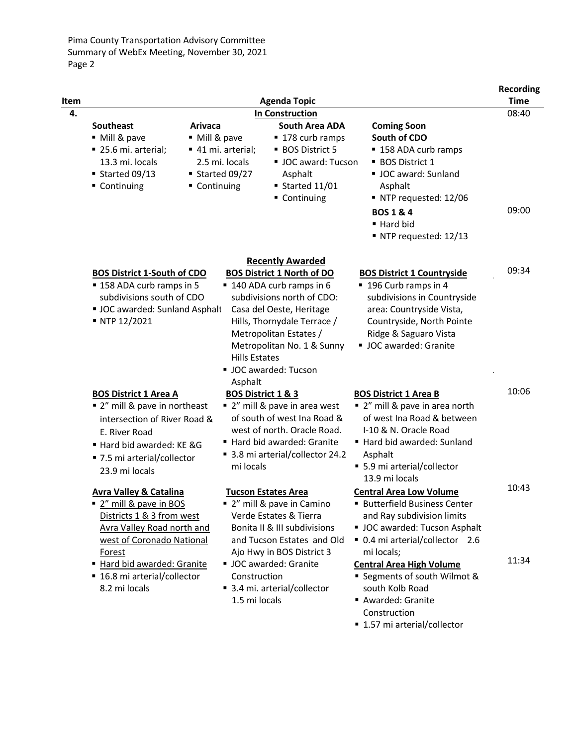| Item |                                                                                                                                                                                                                                         |                                                                                          | <b>Agenda Topic</b>                                                                                                                                                                                                                      |                                                                                                                                                                                                                                                      | <b>Recording</b><br><b>Time</b> |
|------|-----------------------------------------------------------------------------------------------------------------------------------------------------------------------------------------------------------------------------------------|------------------------------------------------------------------------------------------|------------------------------------------------------------------------------------------------------------------------------------------------------------------------------------------------------------------------------------------|------------------------------------------------------------------------------------------------------------------------------------------------------------------------------------------------------------------------------------------------------|---------------------------------|
| 4.   | <b>In Construction</b>                                                                                                                                                                                                                  |                                                                                          |                                                                                                                                                                                                                                          |                                                                                                                                                                                                                                                      |                                 |
|      | <b>Southeast</b><br>Arivaca<br>■ Mill & pave<br>■ 25.6 mi. arterial;<br>13.3 mi. locals<br>■ Started 09/13<br>■ Continuing                                                                                                              | • Mill & pave<br>■ 41 mi. arterial;<br>2.5 mi. locals<br>■ Started 09/27<br>■ Continuing | <b>South Area ADA</b><br>■ 178 curb ramps<br><b>BOS District 5</b><br>UC award: Tucson<br>Asphalt<br>■ Started $11/01$<br>Continuing                                                                                                     | <b>Coming Soon</b><br>South of CDO<br>■ 158 ADA curb ramps<br><b>BOS District 1</b><br>UC award: Sunland<br>Asphalt<br>NTP requested: 12/06<br><b>BOS 1 &amp; 4</b>                                                                                  | 09:00                           |
|      |                                                                                                                                                                                                                                         |                                                                                          |                                                                                                                                                                                                                                          | ■ Hard bid<br>NTP requested: 12/13                                                                                                                                                                                                                   |                                 |
|      | <b>Recently Awarded</b>                                                                                                                                                                                                                 |                                                                                          |                                                                                                                                                                                                                                          |                                                                                                                                                                                                                                                      |                                 |
|      | <b>BOS District 1-South of CDO</b><br>■ 158 ADA curb ramps in 5<br>subdivisions south of CDO<br>UC awarded: Sunland Asphalt<br>■ NTP 12/2021                                                                                            | <b>Hills Estates</b><br>Asphalt                                                          | <b>BOS District 1 North of DO</b><br>■ 140 ADA curb ramps in 6<br>subdivisions north of CDO:<br>Casa del Oeste, Heritage<br>Hills, Thornydale Terrace /<br>Metropolitan Estates /<br>Metropolitan No. 1 & Sunny<br>■ JOC awarded: Tucson | <b>BOS District 1 Countryside</b><br>■ 196 Curb ramps in 4<br>subdivisions in Countryside<br>area: Countryside Vista,<br>Countryside, North Pointe<br>Ridge & Saguaro Vista<br>UC awarded: Granite                                                   | 09:34                           |
|      | <b>BOS District 1 Area A</b><br>■ 2" mill & pave in northeast<br>intersection of River Road &<br>E. River Road<br>Hard bid awarded: KE &G<br>■ 7.5 mi arterial/collector<br>23.9 mi locals                                              | BOS District 1 & 3<br>mi locals                                                          | ■ 2" mill & pave in area west<br>of south of west Ina Road &<br>west of north. Oracle Road.<br>Hard bid awarded: Granite<br>■ 3.8 mi arterial/collector 24.2                                                                             | <b>BOS District 1 Area B</b><br>■ 2" mill & pave in area north<br>of west Ina Road & between<br>I-10 & N. Oracle Road<br>Hard bid awarded: Sunland<br>Asphalt<br>■ 5.9 mi arterial/collector<br>13.9 mi locals                                       | 10:06                           |
|      | <b>Avra Valley &amp; Catalina</b><br>2" mill & pave in BOS<br>Districts 1 & 3 from west<br><b>Avra Valley Road north and</b><br>west of Coronado National<br><b>Forest</b><br>Hard bid awarded: Granite<br>■ 16.8 mi arterial/collector | Construction                                                                             | <b>Tucson Estates Area</b><br>2" mill & pave in Camino<br>Verde Estates & Tierra<br>Bonita II & III subdivisions<br>and Tucson Estates and Old<br>Ajo Hwy in BOS District 3<br>UC awarded: Granite                                       | <b>Central Area Low Volume</b><br><b>Butterfield Business Center</b><br>and Ray subdivision limits<br>UC awarded: Tucson Asphalt<br>■ 0.4 mi arterial/collector 2.6<br>mi locals;<br><b>Central Area High Volume</b><br>■ Segments of south Wilmot & | 10:43<br>11:34                  |
|      | 8.2 mi locals                                                                                                                                                                                                                           | 1.5 mi locals                                                                            | ■ 3.4 mi. arterial/collector                                                                                                                                                                                                             | south Kolb Road<br>Awarded: Granite<br>Construction<br>■ 1.57 mi arterial/collector                                                                                                                                                                  |                                 |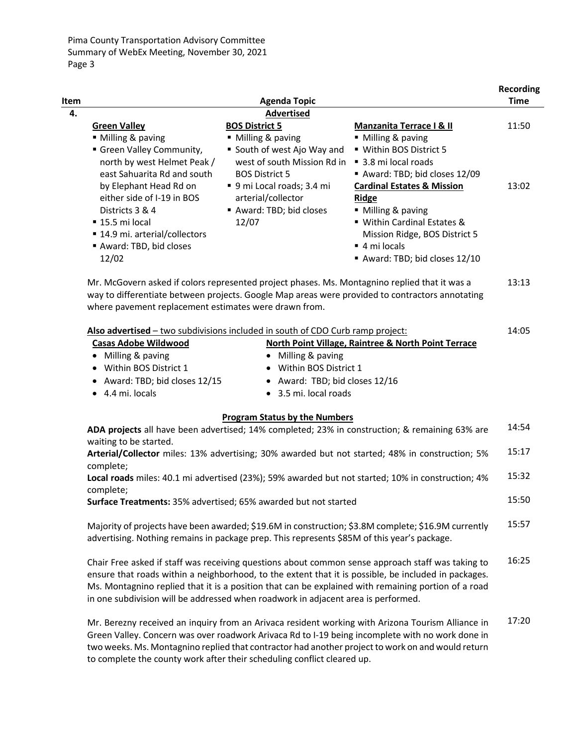Pima County Transportation Advisory Committee Summary of WebEx Meeting, November 30, 2021 Page 3

|             |                                |                             |                                       | <b>Recording</b> |
|-------------|--------------------------------|-----------------------------|---------------------------------------|------------------|
| <b>Item</b> |                                | <b>Agenda Topic</b>         |                                       | Time             |
| 4.          |                                | <b>Advertised</b>           |                                       |                  |
|             | <b>Green Valley</b>            | <b>BOS District 5</b>       | <b>Manzanita Terrace I &amp; II</b>   | 11:50            |
|             | ■ Milling & paving             | ■ Milling & paving          | ■ Milling & paving                    |                  |
|             | Green Valley Community,        | ■ South of west Ajo Way and | ■ Within BOS District 5               |                  |
|             | north by west Helmet Peak /    | west of south Mission Rd in | $\blacksquare$ 3.8 mi local roads     |                  |
|             | east Sahuarita Rd and south    | <b>BOS District 5</b>       | Award: TBD; bid closes 12/09          |                  |
|             | by Elephant Head Rd on         | ■ 9 mi Local roads; 3.4 mi  | <b>Cardinal Estates &amp; Mission</b> | 13:02            |
|             | either side of I-19 in BOS     | arterial/collector          | <b>Ridge</b>                          |                  |
|             | Districts 3 & 4                | Award: TBD; bid closes      | ■ Milling & paving                    |                  |
|             | $\blacksquare$ 15.5 mi local   | 12/07                       | ■ Within Cardinal Estates &           |                  |
|             | ■ 14.9 mi. arterial/collectors |                             | Mission Ridge, BOS District 5         |                  |
|             | Award: TBD, bid closes         |                             | $\blacksquare$ 4 mi locals            |                  |
|             | 12/02                          |                             | Award: TBD; bid closes 12/10          |                  |
|             |                                |                             |                                       |                  |

Mr. McGovern asked if colors represented project phases. Ms. Montagnino replied that it was a way to differentiate between projects. Google Map areas were provided to contractors annotating where pavement replacement estimates were drawn from. 13:13

| Also advertised - two subdivisions included in south of CDO Curb ramp project:<br>14:05                                                                                                                            |                                                                                                     |       |
|--------------------------------------------------------------------------------------------------------------------------------------------------------------------------------------------------------------------|-----------------------------------------------------------------------------------------------------|-------|
| <b>Casas Adobe Wildwood</b>                                                                                                                                                                                        | <b>North Point Village, Raintree &amp; North Point Terrace</b>                                      |       |
| • Milling & paving                                                                                                                                                                                                 | Milling & paving                                                                                    |       |
| • Within BOS District 1                                                                                                                                                                                            | Within BOS District 1<br>$\bullet$                                                                  |       |
| • Award: TBD; bid closes 12/15                                                                                                                                                                                     | • Award: TBD; bid closes 12/16                                                                      |       |
| $\bullet$ 4.4 mi. locals                                                                                                                                                                                           | 3.5 mi. local roads<br>$\bullet$                                                                    |       |
|                                                                                                                                                                                                                    | <b>Program Status by the Numbers</b>                                                                |       |
| 14:54<br>ADA projects all have been advertised; 14% completed; 23% in construction; & remaining 63% are                                                                                                            |                                                                                                     |       |
| waiting to be started.<br>Arterial/Collector miles: 13% advertising; 30% awarded but not started; 48% in construction; 5%                                                                                          |                                                                                                     |       |
| complete;                                                                                                                                                                                                          |                                                                                                     |       |
| Local roads miles: 40.1 mi advertised (23%); 59% awarded but not started; 10% in construction; 4%                                                                                                                  |                                                                                                     |       |
| complete;                                                                                                                                                                                                          |                                                                                                     |       |
| Surface Treatments: 35% advertised; 65% awarded but not started                                                                                                                                                    |                                                                                                     | 15:50 |
|                                                                                                                                                                                                                    | Majority of projects have been awarded; \$19.6M in construction; \$3.8M complete; \$16.9M currently | 15:57 |
|                                                                                                                                                                                                                    | advertising. Nothing remains in package prep. This represents \$85M of this year's package.         |       |
| 16:25<br>Chair Free asked if staff was receiving questions about common sense approach staff was taking to<br>ensure that roads within a neighborhood, to the extent that it is possible, be included in packages. |                                                                                                     |       |
| in one subdivision will be addressed when roadwork in adjacent area is performed.                                                                                                                                  | Ms. Montagnino replied that it is a position that can be explained with remaining portion of a road |       |

Mr. Berezny received an inquiry from an Arivaca resident working with Arizona Tourism Alliance in Green Valley. Concern was over roadwork Arivaca Rd to I-19 being incomplete with no work done in two weeks. Ms. Montagnino replied that contractor had another project to work on and would return to complete the county work after their scheduling conflict cleared up. 17:20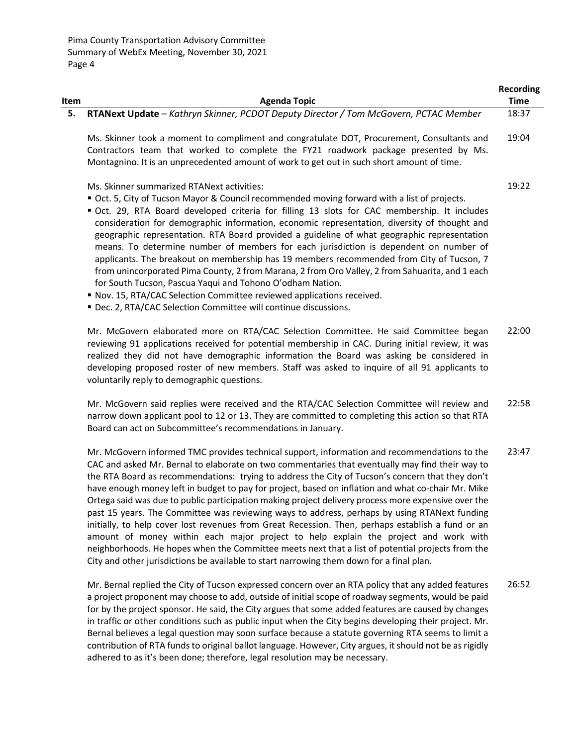|      |                                                                                                                                                                                                                                                                                                                                                                                                                                                                                                                                                                                                                                                                                                                                                                                                                                                                                                                                        | <b>Recording</b> |
|------|----------------------------------------------------------------------------------------------------------------------------------------------------------------------------------------------------------------------------------------------------------------------------------------------------------------------------------------------------------------------------------------------------------------------------------------------------------------------------------------------------------------------------------------------------------------------------------------------------------------------------------------------------------------------------------------------------------------------------------------------------------------------------------------------------------------------------------------------------------------------------------------------------------------------------------------|------------------|
| Item | <b>Agenda Topic</b>                                                                                                                                                                                                                                                                                                                                                                                                                                                                                                                                                                                                                                                                                                                                                                                                                                                                                                                    | <b>Time</b>      |
| 5.   | RTANext Update - Kathryn Skinner, PCDOT Deputy Director / Tom McGovern, PCTAC Member                                                                                                                                                                                                                                                                                                                                                                                                                                                                                                                                                                                                                                                                                                                                                                                                                                                   | 18:37            |
|      | Ms. Skinner took a moment to compliment and congratulate DOT, Procurement, Consultants and<br>Contractors team that worked to complete the FY21 roadwork package presented by Ms.<br>Montagnino. It is an unprecedented amount of work to get out in such short amount of time.                                                                                                                                                                                                                                                                                                                                                                                                                                                                                                                                                                                                                                                        | 19:04            |
|      | Ms. Skinner summarized RTANext activities:<br>" Oct. 5, City of Tucson Mayor & Council recommended moving forward with a list of projects.<br>Oct. 29, RTA Board developed criteria for filling 13 slots for CAC membership. It includes<br>consideration for demographic information, economic representation, diversity of thought and<br>geographic representation. RTA Board provided a guideline of what geographic representation<br>means. To determine number of members for each jurisdiction is dependent on number of<br>applicants. The breakout on membership has 19 members recommended from City of Tucson, 7<br>from unincorporated Pima County, 2 from Marana, 2 from Oro Valley, 2 from Sahuarita, and 1 each<br>for South Tucson, Pascua Yaqui and Tohono O'odham Nation.<br>Nov. 15, RTA/CAC Selection Committee reviewed applications received.<br>Dec. 2, RTA/CAC Selection Committee will continue discussions. | 19:22            |
|      | Mr. McGovern elaborated more on RTA/CAC Selection Committee. He said Committee began<br>reviewing 91 applications received for potential membership in CAC. During initial review, it was<br>realized they did not have demographic information the Board was asking be considered in<br>developing proposed roster of new members. Staff was asked to inquire of all 91 applicants to<br>voluntarily reply to demographic questions.                                                                                                                                                                                                                                                                                                                                                                                                                                                                                                  | 22:00            |

Mr. McGovern said replies were received and the RTA/CAC Selection Committee will review and narrow down applicant pool to 12 or 13. They are committed to completing this action so that RTA Board can act on Subcommittee's recommendations in January. 22:58

Mr. McGovern informed TMC provides technical support, information and recommendations to the CAC and asked Mr. Bernal to elaborate on two commentaries that eventually may find their way to the RTA Board as recommendations: trying to address the City of Tucson's concern that they don't have enough money left in budget to pay for project, based on inflation and what co-chair Mr. Mike Ortega said was due to public participation making project delivery process more expensive over the past 15 years. The Committee was reviewing ways to address, perhaps by using RTANext funding initially, to help cover lost revenues from Great Recession. Then, perhaps establish a fund or an amount of money within each major project to help explain the project and work with neighborhoods. He hopes when the Committee meets next that a list of potential projects from the City and other jurisdictions be available to start narrowing them down for a final plan. 23:47

Mr. Bernal replied the City of Tucson expressed concern over an RTA policy that any added features a project proponent may choose to add, outside of initial scope of roadway segments, would be paid for by the project sponsor. He said, the City argues that some added features are caused by changes in traffic or other conditions such as public input when the City begins developing their project. Mr. Bernal believes a legal question may soon surface because a statute governing RTA seems to limit a contribution of RTA funds to original ballot language. However, City argues, it should not be as rigidly adhered to as it's been done; therefore, legal resolution may be necessary. 26:52